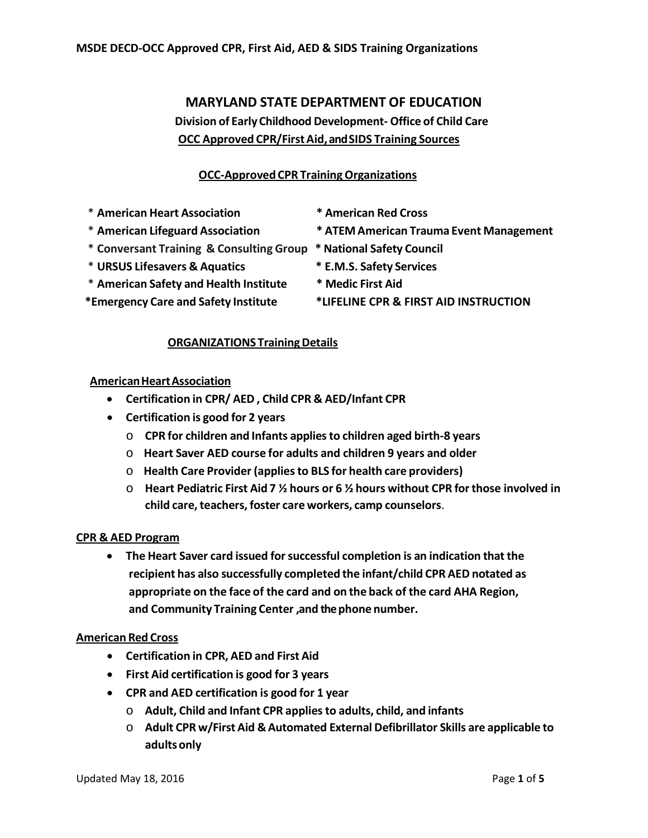# **MARYLAND STATE DEPARTMENT OF EDUCATION Division of Early Childhood Development- Office of Child Care OCC Approved CPR/FirstAid,andSIDS Training Sources**

## **OCC-ApprovedCPR TrainingOrganizations**

- \* **American Heart Association \* American Red Cross**
- 
- \* **Conversant Training & Consulting Group \* National Safety Council**
- \* **URSUS Lifesavers & Aquatics \* E.M.S. Safety Services**
- \* **American Safety and Health Institute \* Medic First Aid**
- 
- 
- \* **American Lifeguard Association \* ATEM American Trauma Event Management**
	-
	-
	-
- **\*Emergency Care and Safety Institute \*LIFELINE CPR & FIRST AID INSTRUCTION**

## **ORGANIZATIONS TrainingDetails**

## **AmericanHeartAssociation**

- **Certification in CPR/ AED , Child CPR & AED/Infant CPR**
- **Certification is good for 2 years**
	- o **CPR for children and Infants appliesto children aged birth-8 years**
	- o **Heart Saver AED course for adults and children 9 years and older**
	- o **Health Care Provider (appliesto BLS for health care providers)**
	- o **Heart Pediatric First Aid 7 ½ hours or 6 ½ hours without CPR for those involved in child care,teachers, foster care workers, camp counselors**.

## **CPR & AED Program**

• **The Heart Saver card issued forsuccessful completion is an indication thatthe recipient has also successfully completed the infant/child CPR AED notated as appropriate on the face of the card and on the back of the card AHA Region, and Community Training Center ,and the phone number.**

#### **American Red Cross**

- **Certification in CPR, AED and First Aid**
- **First Aid certification is good for 3 years**
- **CPR and AED certification is good for 1 year**
	- o **Adult, Child and Infant CPR appliesto adults, child, and infants**
	- o **Adult CPR w/First Aid & Automated External Defibrillator Skills are applicable to adultsonly**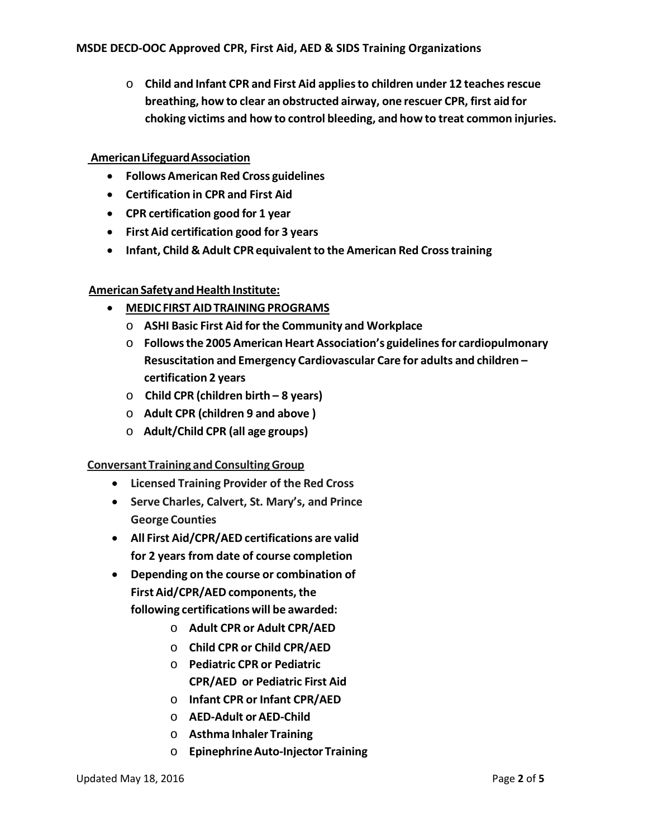o **Child and Infant CPR and First Aid appliesto children under 12 teachesrescue breathing, how to clear an obstructed airway, one rescuer CPR, first aid for choking victims and how to control bleeding, and how to treat common injuries.**

### **AmericanLifeguardAssociation**

- **FollowsAmerican Red Cross guidelines**
- **Certification in CPR and First Aid**
- **CPR certification good for 1 year**
- **First Aid certification good for 3 years**
- **Infant, Child & Adult CPR equivalentto the American Red Crosstraining**

## **American Safety andHealth Institute:**

- **MEDICFIRST AIDTRAININGPROGRAMS**
	- o **ASHI Basic First Aid forthe Community and Workplace**
	- o **Followsthe 2005 American Heart Association's guidelinesfor cardiopulmonary Resuscitation and Emergency Cardiovascular Care for adults and children – certification 2 years**
	- o **Child CPR (children birth – 8 years)**
	- o **Adult CPR (children 9 and above )**
	- o **Adult/Child CPR (all age groups)**

#### **Conversant Training and ConsultingGroup**

- **Licensed Training Provider of the Red Cross**
- **Serve Charles, Calvert, St. Mary's, and Prince George Counties**
- **All First Aid/CPR/AED certifications are valid for 2 years from date of course completion**
- **Depending on the course or combination of First Aid/CPR/AED components,the following certifications will be awarded:**
	- o **Adult CPR or Adult CPR/AED**
	- o **Child CPR or Child CPR/AED**
	- o **Pediatric CPR or Pediatric CPR/AED or Pediatric First Aid**
	- o **Infant CPR or Infant CPR/AED**
	- o **AED-Adult or AED-Child**
	- o **Asthma Inhaler Training**
	- o **EpinephrineAuto-Injector Training**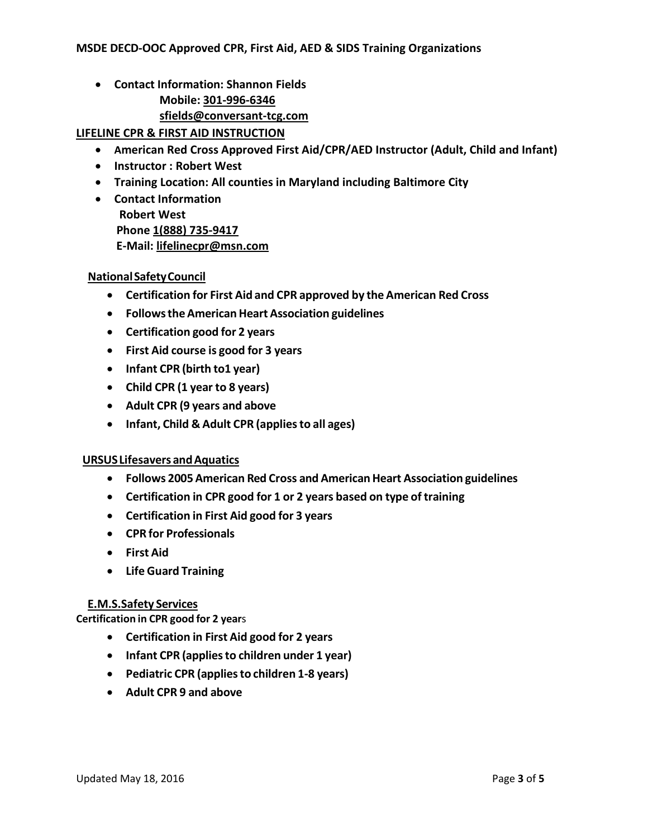- **Contact Information: Shannon Fields**
	- **Mobile: [301-996-6346](tel:301-996-6346)**
	- **[sfields@conversant-tcg.com](mailto:sfields@conversant-tcg.com)**

**LIFELINE CPR & FIRST AID INSTRUCTION**

- **American Red Cross Approved First Aid/CPR/AED Instructor (Adult, Child and Infant)**
- **Instructor : Robert West**
- **Training Location: All counties in Maryland including Baltimore City**
- **Contact Information Robert West Phone [1\(888\) 735-9417](tel:1%28888%29%20735-9417) E-Mail: [lifelinecpr@msn.com](mailto:lifelinecpr@msn.com)**

#### **NationalSafetyCouncil**

- **Certification for First Aid and CPR approved by the American Red Cross**
- **FollowstheAmerican Heart Association guidelines**
- **Certification good for 2 years**
- **First Aid course is good for 3 years**
- **Infant CPR (birth to1 year)**
- **Child CPR (1 year to 8 years)**
- **Adult CPR (9 years and above**
- **Infant, Child & Adult CPR (appliesto all ages)**

## **URSUSLifesavers andAquatics**

- **Follows 2005 American Red Cross and AmericanHeart Association guidelines**
- **Certification in CPR good for 1 or 2 years based on type of training**
- **Certification in First Aid good for 3 years**
- **CPR for Professionals**
- **First Aid**
- **Life Guard Training**

## **E.M.S.Safety Services**

**Certification in CPR good for 2 year**s

- **Certification in First Aid good for 2 years**
- **Infant CPR (appliesto children under 1 year)**
- **Pediatric CPR (appliesto children 1-8 years)**
- **Adult CPR 9 and above**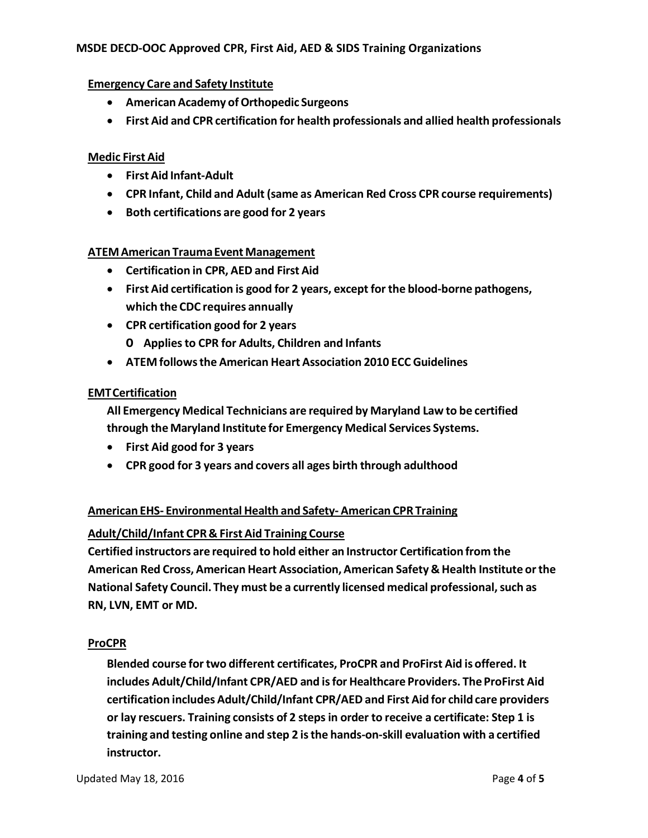### **MSDE DECD-OOC Approved CPR, First Aid, AED & SIDS Training Organizations**

#### **Emergency Care and Safety Institute**

- **American Academy ofOrthopedic Surgeons**
- **First Aid and CPR certification for health professionals and allied health professionals**

#### **Medic First Aid**

- **First Aid Infant-Adult**
- **CPR Infant, Child and Adult (same as American Red Cross CPR course requirements)**
- **Both certifications are good for 2 years**

#### **ATEMAmerican TraumaEventManagement**

- **Certification in CPR, AED and First Aid**
- **First Aid certification is good for 2 years, except for the blood-borne pathogens, which the CDC requires annually**
- **CPR certification good for 2 years**
	- **O Appliesto CPR for Adults, Children and Infants**
- **ATEM followsthe American Heart Association 2010 ECC Guidelines**

#### **EMTCertification**

**All Emergency Medical Technicians are required by Maryland Law to be certified through the Maryland Institute for Emergency Medical Services Systems.**

- **First Aid good for 3 years**
- **CPR good for 3 years and covers all ages birth through adulthood**

## **American EHS- Environmental Health and Safety- American CPR Training**

#### **Adult/Child/Infant CPR& First Aid Training Course**

**Certified instructors are required to hold either an Instructor Certification from the American Red Cross, American Heart Association, American Safety & Health Institute orthe National Safety Council. They must be a currently licensed medical professional, such as**  $\blacksquare$ **RN, LVN, EMT or MD.**

#### **ProCPR**

**Blended course fortwo different certificates, ProCPR and ProFirst Aid is offered. It includes Adult/Child/Infant CPR/AED and isfor Healthcare Providers. The ProFirst Aid certification includes Adult/Child/Infant CPR/AED and First Aid for child care providers or lay rescuers. Training consists of 2 stepsin order to receive a certificate: Step 1 is training and testing online and step 2 isthe hands-on-skill evaluation with a certified instructor.**